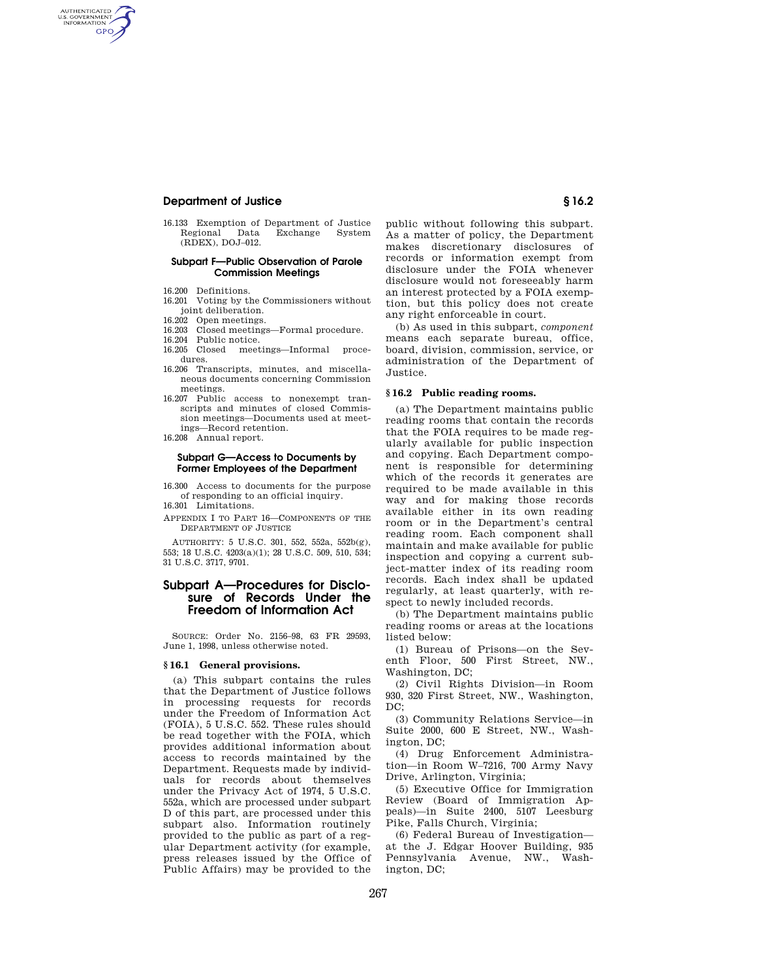# **Department of Justice § 16.2**

AUTHENTICATED<br>U.S. GOVERNMENT<br>INFORMATION **GPO** 

> 16.133 Exemption of Department of Justice Regional Data Exchange System (RDEX), DOJ–012.

# **Subpart F—Public Observation of Parole Commission Meetings**

- 16.200 Definitions.
- 16.201 Voting by the Commissioners without joint deliberation. 16.202 Open meetings.
- 16.203 Closed meetings—Formal procedure.
- 16.204 Public notice.
- 16.205 Closed meetings—Informal procedures.
- 16.206 Transcripts, minutes, and miscellaneous documents concerning Commission meetings.
- 16.207 Public access to nonexempt transcripts and minutes of closed Commission meetings—Documents used at meetings—Record retention.
- 16.208 Annual report.

# **Subpart G—Access to Documents by Former Employees of the Department**

- 16.300 Access to documents for the purpose of responding to an official inquiry. 16.301 Limitations.
- APPENDIX I TO PART 16—COMPONENTS OF THE DEPARTMENT OF JUSTICE

AUTHORITY: 5 U.S.C. 301, 552, 552a, 552b(g), 553; 18 U.S.C. 4203(a)(1); 28 U.S.C. 509, 510, 534; 31 U.S.C. 3717, 9701.

# **Subpart A—Procedures for Disclosure of Records Under the Freedom of Information Act**

SOURCE: Order No. 2156–98, 63 FR 29593, June 1, 1998, unless otherwise noted.

# **§ 16.1 General provisions.**

(a) This subpart contains the rules that the Department of Justice follows in processing requests for records under the Freedom of Information Act (FOIA), 5 U.S.C. 552. These rules should be read together with the FOIA, which provides additional information about access to records maintained by the Department. Requests made by individuals for records about themselves under the Privacy Act of 1974, 5 U.S.C. 552a, which are processed under subpart D of this part, are processed under this subpart also. Information routinely provided to the public as part of a regular Department activity (for example, press releases issued by the Office of Public Affairs) may be provided to the

public without following this subpart. As a matter of policy, the Department makes discretionary disclosures of records or information exempt from disclosure under the FOIA whenever disclosure would not foreseeably harm an interest protected by a FOIA exemption, but this policy does not create any right enforceable in court.

(b) As used in this subpart, *component*  means each separate bureau, office, board, division, commission, service, or administration of the Department of Justice.

### **§ 16.2 Public reading rooms.**

(a) The Department maintains public reading rooms that contain the records that the FOIA requires to be made regularly available for public inspection and copying. Each Department component is responsible for determining which of the records it generates are required to be made available in this way and for making those records available either in its own reading room or in the Department's central reading room. Each component shall maintain and make available for public inspection and copying a current subject-matter index of its reading room records. Each index shall be updated regularly, at least quarterly, with respect to newly included records.

(b) The Department maintains public reading rooms or areas at the locations listed below:

(1) Bureau of Prisons—on the Seventh Floor, 500 First Street, NW., Washington, DC;

(2) Civil Rights Division—in Room 930, 320 First Street, NW., Washington, DC:

(3) Community Relations Service—in Suite 2000, 600 E Street, NW., Washington, DC;

(4) Drug Enforcement Administration—in Room W–7216, 700 Army Navy Drive, Arlington, Virginia;

(5) Executive Office for Immigration Review (Board of Immigration Appeals)—in Suite 2400, 5107 Leesburg Pike, Falls Church, Virginia;

(6) Federal Bureau of Investigation at the J. Edgar Hoover Building, 935 Pennsylvania Avenue, NW., Washington, DC;